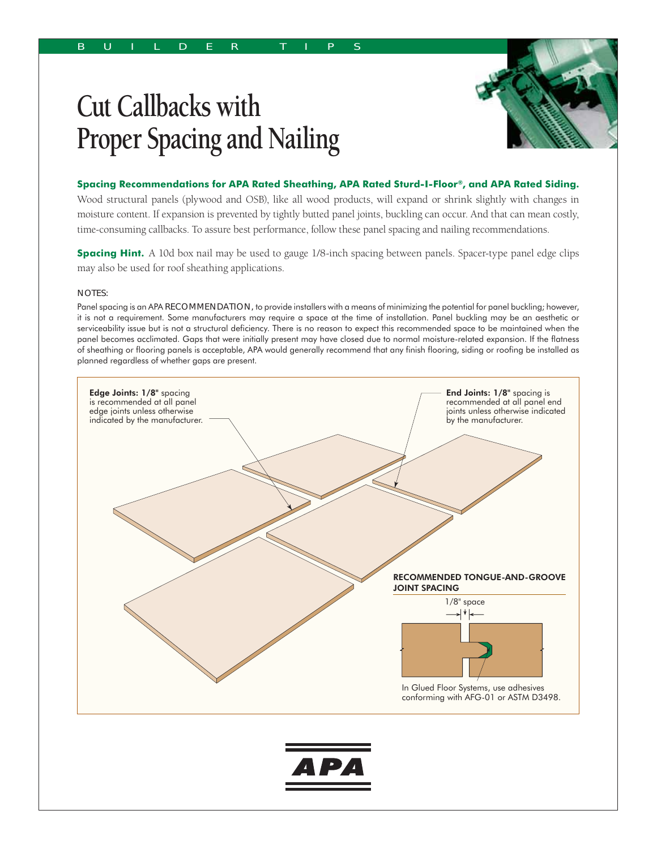## **Cut Callbacks with Proper Spacing and Nailing**



**Spacing Recommendations for APA Rated Sheathing, APA Rated Sturd-I-Floor®, and APA Rated Siding.**

Wood structural panels (plywood and OSB), like all wood products, will expand or shrink slightly with changes in moisture content. If expansion is prevented by tightly butted panel joints, buckling can occur. And that can mean costly, time-consuming callbacks. To assure best performance, follow these panel spacing and nailing recommendations.

**Spacing Hint.** A 10d box nail may be used to gauge 1/8-inch spacing between panels. Spacer-type panel edge clips may also be used for roof sheathing applications.

## NOTES:

Panel spacing is an APA RECOMMENDATION, to provide installers with a means of minimizing the potential for panel buckling; however, it is not a requirement. Some manufacturers may require a space at the time of installation. Panel buckling may be an aesthetic or serviceability issue but is not a structural deficiency. There is no reason to expect this recommended space to be maintained when the panel becomes acclimated. Gaps that were initially present may have closed due to normal moisture-related expansion. If the flatness of sheathing or flooring panels is acceptable, APA would generally recommend that any finish flooring, siding or roofing be installed as planned regardless of whether gaps are present.